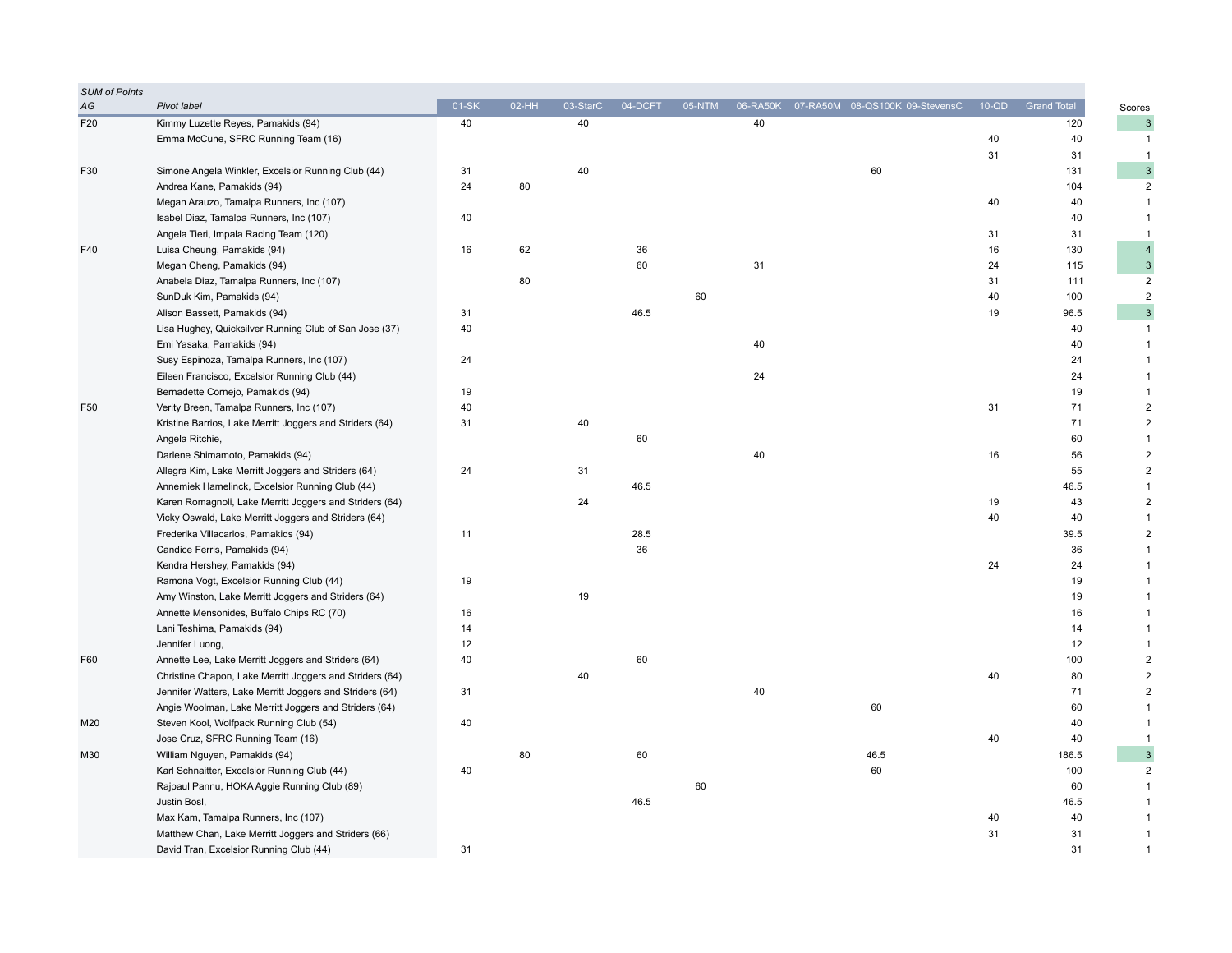| <b>SUM of Points</b> |                                                          |       |       |          |         |        |    |                                         |         |                    |                              |
|----------------------|----------------------------------------------------------|-------|-------|----------|---------|--------|----|-----------------------------------------|---------|--------------------|------------------------------|
| AG                   | Pivot label                                              | 01-SK | 02-HH | 03-StarC | 04-DCFT | 05-NTM |    | 06-RA50K 07-RA50M 08-QS100K 09-StevensC | $10-QD$ | <b>Grand Total</b> | Scores                       |
| F20                  | Kimmy Luzette Reyes, Pamakids (94)                       | 40    |       | 40       |         |        | 40 |                                         |         | 120                | $\sqrt{3}$                   |
|                      | Emma McCune, SFRC Running Team (16)                      |       |       |          |         |        |    |                                         | 40      | 40                 | $\mathbf{1}$                 |
|                      |                                                          |       |       |          |         |        |    |                                         | 31      | 31                 | $\mathbf{1}$                 |
| F30                  | Simone Angela Winkler, Excelsior Running Club (44)       | 31    |       | 40       |         |        |    | 60                                      |         | 131                | $\ensuremath{\mathsf{3}}$    |
|                      | Andrea Kane, Pamakids (94)                               | 24    | 80    |          |         |        |    |                                         |         | 104                | $\overline{2}$               |
|                      | Megan Arauzo, Tamalpa Runners, Inc (107)                 |       |       |          |         |        |    |                                         | 40      | 40                 | $\mathbf{1}$                 |
|                      | Isabel Diaz, Tamalpa Runners, Inc (107)                  | 40    |       |          |         |        |    |                                         |         | 40                 | $\mathbf{1}$                 |
|                      | Angela Tieri, Impala Racing Team (120)                   |       |       |          |         |        |    |                                         | 31      | 31                 | $\mathbf{1}$                 |
| F40                  | Luisa Cheung, Pamakids (94)                              | 16    | 62    |          | 36      |        |    |                                         | 16      | 130                | $\overline{4}$               |
|                      | Megan Cheng, Pamakids (94)                               |       |       |          | 60      |        | 31 |                                         | 24      | 115                | $\mathsf 3$                  |
|                      | Anabela Diaz, Tamalpa Runners, Inc (107)                 |       | 80    |          |         |        |    |                                         | 31      | 111                | $\overline{2}$               |
|                      | SunDuk Kim, Pamakids (94)                                |       |       |          |         | 60     |    |                                         | 40      | 100                | $\overline{2}$               |
|                      | Alison Bassett, Pamakids (94)                            | 31    |       |          | 46.5    |        |    |                                         | 19      | 96.5               | $\ensuremath{\mathsf{3}}$    |
|                      | Lisa Hughey, Quicksilver Running Club of San Jose (37)   | 40    |       |          |         |        |    |                                         |         | 40                 | $\mathbf{1}$                 |
|                      | Emi Yasaka, Pamakids (94)                                |       |       |          |         |        | 40 |                                         |         | 40                 | $\mathbf{1}$                 |
|                      | Susy Espinoza, Tamalpa Runners, Inc (107)                | 24    |       |          |         |        |    |                                         |         | 24                 | $\mathbf{1}$                 |
|                      | Eileen Francisco, Excelsior Running Club (44)            |       |       |          |         |        | 24 |                                         |         | 24                 | $\mathbf{1}$                 |
|                      | Bernadette Cornejo, Pamakids (94)                        | 19    |       |          |         |        |    |                                         |         | 19                 | $\mathbf{1}$                 |
| F50                  | Verity Breen, Tamalpa Runners, Inc (107)                 | 40    |       |          |         |        |    |                                         | 31      | 71                 | $\overline{2}$               |
|                      | Kristine Barrios, Lake Merritt Joggers and Striders (64) | 31    |       | 40       |         |        |    |                                         |         | 71                 | $\boldsymbol{2}$             |
|                      | Angela Ritchie,                                          |       |       |          | 60      |        |    |                                         |         | 60                 | $\mathbf{1}$                 |
|                      | Darlene Shimamoto, Pamakids (94)                         |       |       |          |         |        | 40 |                                         | 16      | 56                 | $\boldsymbol{2}$             |
|                      | Allegra Kim, Lake Merritt Joggers and Striders (64)      | 24    |       | 31       |         |        |    |                                         |         | 55                 | $\overline{c}$               |
|                      | Annemiek Hamelinck, Excelsior Running Club (44)          |       |       |          | 46.5    |        |    |                                         |         | 46.5               | $\overline{1}$               |
|                      | Karen Romagnoli, Lake Merritt Joggers and Striders (64)  |       |       | 24       |         |        |    |                                         | 19      | 43                 | $\overline{2}$               |
|                      | Vicky Oswald, Lake Merritt Joggers and Striders (64)     |       |       |          |         |        |    |                                         | 40      | 40                 | $\mathbf{1}$                 |
|                      | Frederika Villacarlos, Pamakids (94)                     | 11    |       |          | 28.5    |        |    |                                         |         | 39.5               | $\sqrt{2}$                   |
|                      | Candice Ferris, Pamakids (94)                            |       |       |          | 36      |        |    |                                         |         | 36                 | $\overline{1}$               |
|                      | Kendra Hershey, Pamakids (94)                            |       |       |          |         |        |    |                                         | 24      | 24                 | $\mathbf{1}$                 |
|                      | Ramona Vogt, Excelsior Running Club (44)                 | 19    |       |          |         |        |    |                                         |         | 19                 | $\mathbf{1}$                 |
|                      | Amy Winston, Lake Merritt Joggers and Striders (64)      |       |       | 19       |         |        |    |                                         |         | 19                 | $\mathbf{1}$                 |
|                      | Annette Mensonides, Buffalo Chips RC (70)                | 16    |       |          |         |        |    |                                         |         | 16                 | $\mathbf{1}$                 |
|                      | Lani Teshima, Pamakids (94)                              | 14    |       |          |         |        |    |                                         |         | 14                 | $\mathbf{1}$                 |
|                      | Jennifer Luong,                                          | 12    |       |          |         |        |    |                                         |         | 12                 | $\mathbf{1}$                 |
| F60                  | Annette Lee, Lake Merritt Joggers and Striders (64)      | 40    |       |          | 60      |        |    |                                         |         | 100                | $\sqrt{2}$                   |
|                      |                                                          |       |       | 40       |         |        |    |                                         | 40      | 80                 | $\overline{c}$               |
|                      | Christine Chapon, Lake Merritt Joggers and Striders (64) |       |       |          |         |        |    |                                         |         |                    |                              |
|                      | Jennifer Watters, Lake Merritt Joggers and Striders (64) | 31    |       |          |         |        | 40 |                                         |         | 71                 | $\sqrt{2}$                   |
|                      | Angie Woolman, Lake Merritt Joggers and Striders (64)    |       |       |          |         |        |    | 60                                      |         | 60                 | $\mathbf{1}$<br>$\mathbf{1}$ |
| M20                  | Steven Kool, Wolfpack Running Club (54)                  | 40    |       |          |         |        |    |                                         |         | 40                 |                              |
| M30                  | Jose Cruz, SFRC Running Team (16)                        |       |       |          |         |        |    |                                         | 40      | 40                 | $\mathbf{1}$                 |
|                      | William Nguyen, Pamakids (94)                            |       | 80    |          | 60      |        |    | 46.5                                    |         | 186.5              | $\ensuremath{\mathsf{3}}$    |
|                      | Karl Schnaitter, Excelsior Running Club (44)             | 40    |       |          |         |        |    | 60                                      |         | 100                | $\sqrt{2}$                   |
|                      | Rajpaul Pannu, HOKA Aggie Running Club (89)              |       |       |          |         | 60     |    |                                         |         | 60                 | $\mathbf{1}$                 |
|                      | Justin Bosl,                                             |       |       |          | 46.5    |        |    |                                         |         | 46.5               | $\mathbf{1}$                 |
|                      | Max Kam, Tamalpa Runners, Inc (107)                      |       |       |          |         |        |    |                                         | 40      | 40                 | $\mathbf{1}$                 |
|                      | Matthew Chan, Lake Merritt Joggers and Striders (66)     |       |       |          |         |        |    |                                         | 31      | 31                 | $\mathbf{1}$                 |
|                      | David Tran, Excelsior Running Club (44)                  | 31    |       |          |         |        |    |                                         |         | 31                 | $\mathbf{1}$                 |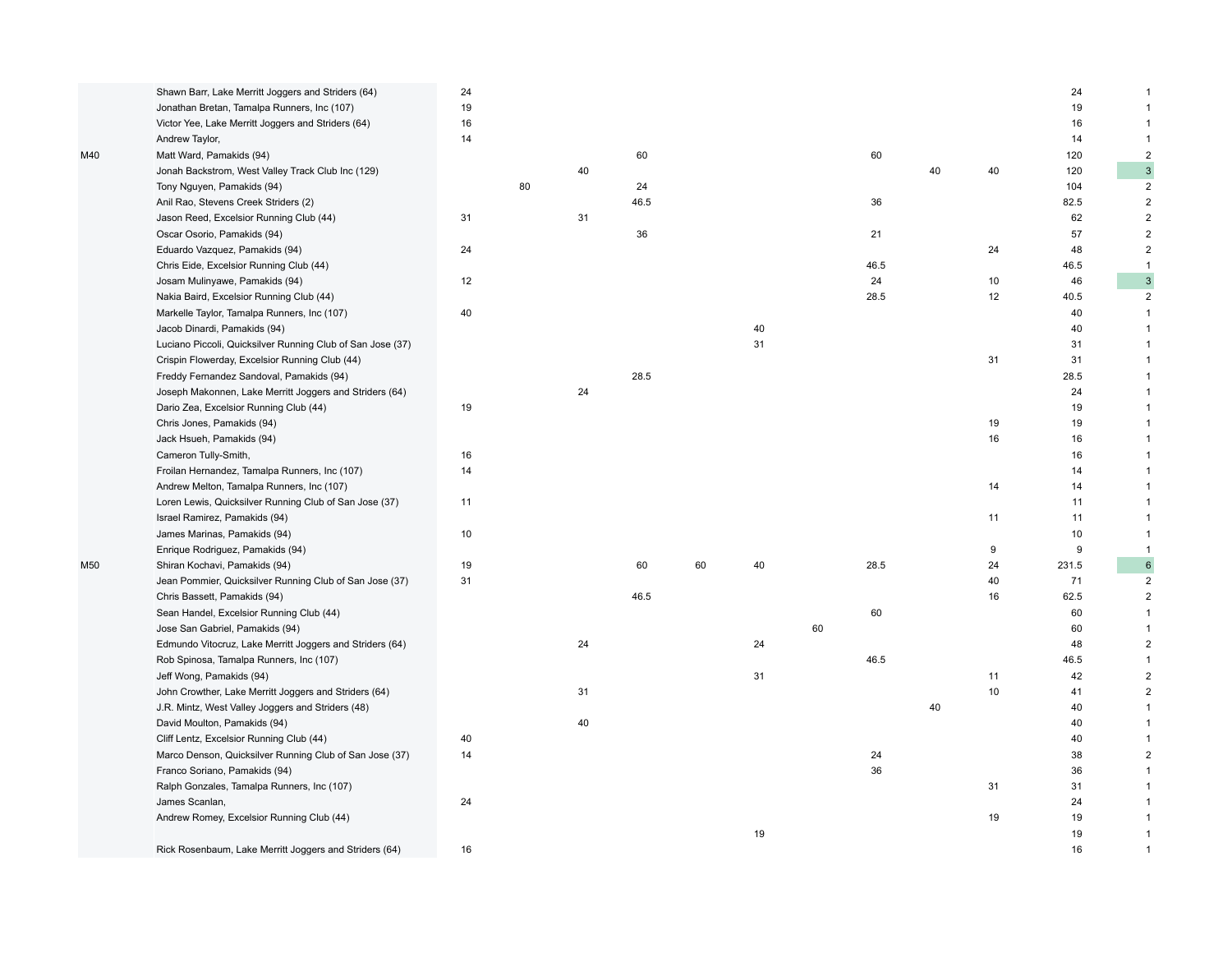|     | Shawn Barr, Lake Merritt Joggers and Striders (64)         | 24 |    |    |      |    |    |    |      |    |    | 24    | $\mathbf 1$               |
|-----|------------------------------------------------------------|----|----|----|------|----|----|----|------|----|----|-------|---------------------------|
|     | Jonathan Bretan, Tamalpa Runners, Inc (107)                | 19 |    |    |      |    |    |    |      |    |    | 19    | $\mathbf{1}$              |
|     | Victor Yee, Lake Merritt Joggers and Striders (64)         | 16 |    |    |      |    |    |    |      |    |    | 16    | $\mathbf{1}$              |
|     | Andrew Taylor,                                             | 14 |    |    |      |    |    |    |      |    |    | 14    | $\mathbf{1}$              |
| M40 | Matt Ward, Pamakids (94)                                   |    |    |    | 60   |    |    |    | 60   |    |    | 120   | $\overline{2}$            |
|     | Jonah Backstrom, West Valley Track Club Inc (129)          |    |    | 40 |      |    |    |    |      | 40 | 40 | 120   | $\ensuremath{\mathsf{3}}$ |
|     | Tony Nguyen, Pamakids (94)                                 |    | 80 |    | 24   |    |    |    |      |    |    | 104   | $\overline{2}$            |
|     | Anil Rao, Stevens Creek Striders (2)                       |    |    |    | 46.5 |    |    |    | 36   |    |    | 82.5  | $\overline{2}$            |
|     | Jason Reed, Excelsior Running Club (44)                    | 31 |    | 31 |      |    |    |    |      |    |    | 62    | $\overline{2}$            |
|     | Oscar Osorio, Pamakids (94)                                |    |    |    | 36   |    |    |    | 21   |    |    | 57    | $\mathbf 2$               |
|     | Eduardo Vazquez, Pamakids (94)                             | 24 |    |    |      |    |    |    |      |    | 24 | 48    | $\overline{2}$            |
|     | Chris Eide, Excelsior Running Club (44)                    |    |    |    |      |    |    |    | 46.5 |    |    | 46.5  | $\mathbf{1}$              |
|     | Josam Mulinyawe, Pamakids (94)                             | 12 |    |    |      |    |    |    | 24   |    | 10 | 46    | $\ensuremath{\mathsf{3}}$ |
|     | Nakia Baird, Excelsior Running Club (44)                   |    |    |    |      |    |    |    | 28.5 |    | 12 | 40.5  | $\overline{2}$            |
|     | Markelle Taylor, Tamalpa Runners, Inc (107)                | 40 |    |    |      |    |    |    |      |    |    | 40    | $\mathbf{1}$              |
|     | Jacob Dinardi, Pamakids (94)                               |    |    |    |      |    | 40 |    |      |    |    | 40    | $\mathbf{1}$              |
|     | Luciano Piccoli, Quicksilver Running Club of San Jose (37) |    |    |    |      |    | 31 |    |      |    |    | 31    | $\mathbf{1}$              |
|     | Crispin Flowerday, Excelsior Running Club (44)             |    |    |    |      |    |    |    |      |    | 31 | 31    | $\mathbf{1}$              |
|     | Freddy Fernandez Sandoval, Pamakids (94)                   |    |    |    | 28.5 |    |    |    |      |    |    | 28.5  | $\mathbf{1}$              |
|     | Joseph Makonnen, Lake Merritt Joggers and Striders (64)    |    |    | 24 |      |    |    |    |      |    |    | 24    | $\mathbf{1}$              |
|     | Dario Zea, Excelsior Running Club (44)                     | 19 |    |    |      |    |    |    |      |    |    | 19    | $\mathbf{1}$              |
|     | Chris Jones, Pamakids (94)                                 |    |    |    |      |    |    |    |      |    | 19 | 19    | $\mathbf{1}$              |
|     | Jack Hsueh, Pamakids (94)                                  |    |    |    |      |    |    |    |      |    | 16 | 16    | $\mathbf{1}$              |
|     | Cameron Tully-Smith,                                       | 16 |    |    |      |    |    |    |      |    |    | 16    | $\mathbf{1}$              |
|     | Froilan Hernandez, Tamalpa Runners, Inc (107)              | 14 |    |    |      |    |    |    |      |    |    | 14    | 1                         |
|     | Andrew Melton, Tamalpa Runners, Inc (107)                  |    |    |    |      |    |    |    |      |    | 14 | 14    | $\mathbf{1}$              |
|     | Loren Lewis, Quicksilver Running Club of San Jose (37)     | 11 |    |    |      |    |    |    |      |    |    | 11    | $\mathbf{1}$              |
|     | Israel Ramirez, Pamakids (94)                              |    |    |    |      |    |    |    |      |    | 11 | 11    | $\mathbf{1}$              |
|     | James Marinas, Pamakids (94)                               | 10 |    |    |      |    |    |    |      |    |    | 10    | $\mathbf{1}$              |
|     | Enrique Rodriguez, Pamakids (94)                           |    |    |    |      |    |    |    |      |    | 9  | 9     | $\mathbf{1}$              |
| M50 | Shiran Kochavi, Pamakids (94)                              | 19 |    |    | 60   | 60 | 40 |    | 28.5 |    | 24 | 231.5 | $\,6\,$                   |
|     | Jean Pommier, Quicksilver Running Club of San Jose (37)    | 31 |    |    |      |    |    |    |      |    | 40 | 71    | $\overline{2}$            |
|     | Chris Bassett, Pamakids (94)                               |    |    |    | 46.5 |    |    |    |      |    | 16 | 62.5  | $\overline{2}$            |
|     | Sean Handel, Excelsior Running Club (44)                   |    |    |    |      |    |    |    | 60   |    |    | 60    | $\mathbf{1}$              |
|     | Jose San Gabriel, Pamakids (94)                            |    |    |    |      |    |    | 60 |      |    |    | 60    | $\mathbf{1}$              |
|     | Edmundo Vitocruz, Lake Merritt Joggers and Striders (64)   |    |    | 24 |      |    | 24 |    |      |    |    | 48    | $\overline{2}$            |
|     | Rob Spinosa, Tamalpa Runners, Inc (107)                    |    |    |    |      |    |    |    | 46.5 |    |    | 46.5  | $\mathbf{1}$              |
|     | Jeff Wong, Pamakids (94)                                   |    |    |    |      |    | 31 |    |      |    | 11 | 42    | $\overline{2}$            |
|     | John Crowther, Lake Merritt Joggers and Striders (64)      |    |    | 31 |      |    |    |    |      |    | 10 | 41    | $\mathbf 2$               |
|     | J.R. Mintz, West Valley Joggers and Striders (48)          |    |    |    |      |    |    |    |      | 40 |    | 40    | $\mathbf{1}$              |
|     | David Moulton, Pamakids (94)                               |    |    | 40 |      |    |    |    |      |    |    | 40    | $\mathbf{1}$              |
|     | Cliff Lentz, Excelsior Running Club (44)                   | 40 |    |    |      |    |    |    |      |    |    | 40    | $\mathbf{1}$              |
|     | Marco Denson, Quicksilver Running Club of San Jose (37)    | 14 |    |    |      |    |    |    | 24   |    |    | 38    | $\overline{2}$            |
|     | Franco Soriano, Pamakids (94)                              |    |    |    |      |    |    |    | 36   |    |    | 36    | 1                         |
|     | Ralph Gonzales, Tamalpa Runners, Inc (107)                 |    |    |    |      |    |    |    |      |    | 31 | 31    | $\mathbf{1}$              |
|     | James Scanlan,                                             | 24 |    |    |      |    |    |    |      |    |    | 24    | $\mathbf{1}$              |
|     | Andrew Romey, Excelsior Running Club (44)                  |    |    |    |      |    |    |    |      |    | 19 | 19    | $\mathbf{1}$              |
|     |                                                            |    |    |    |      |    | 19 |    |      |    |    | 19    | $\mathbf{1}$              |
|     | Rick Rosenbaum, Lake Merritt Joggers and Striders (64)     | 16 |    |    |      |    |    |    |      |    |    | 16    | $\mathbf{1}$              |